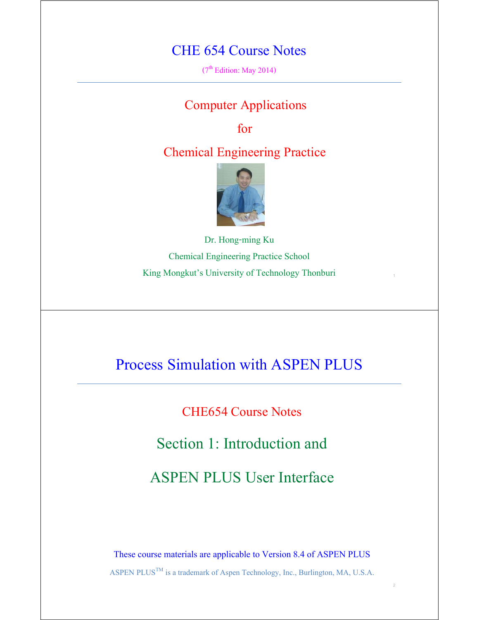#### CHE 654 Course Notes

 $(7<sup>th</sup> Edition: May 2014)$ 

#### Computer Applications

for

#### Chemical Engineering Practice



Dr. Hong-ming Ku Chemical Engineering Practice School King Mongkut's University of Technology Thonburi

1

2

## Process Simulation with ASPEN PLUS

CHE654 Course Notes

Section 1: Introduction and

ASPEN PLUS User Interface

These course materials are applicable to Version 8.4 of ASPEN PLUS ASPEN PLUS<sup>TM</sup> is a trademark of Aspen Technology, Inc., Burlington, MA, U.S.A.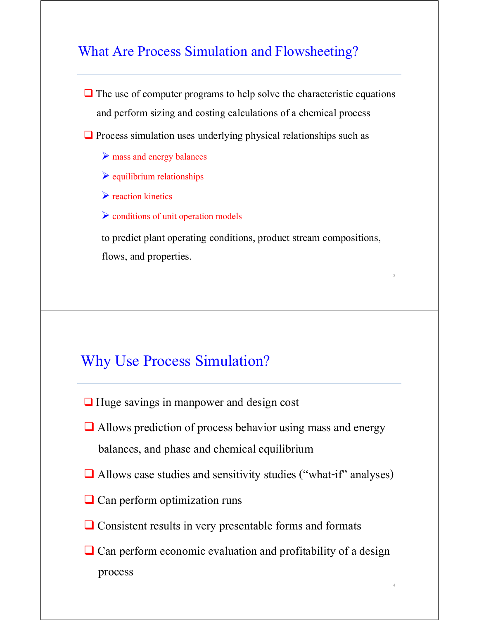#### What Are Process Simulation and Flowsheeting?

 $\Box$  The use of computer programs to help solve the characteristic equations and perform sizing and costing calculations of a chemical process

 $\Box$  Process simulation uses underlying physical relationships such as

- $\triangleright$  mass and energy balances
- $\triangleright$  equilibrium relationships
- $\triangleright$  reaction kinetics
- $\triangleright$  conditions of unit operation models

 to predict plant operating conditions, product stream compositions, flows, and properties.

3

4

#### Why Use Process Simulation?

- $\Box$  Huge savings in manpower and design cost
- $\Box$  Allows prediction of process behavior using mass and energy balances, and phase and chemical equilibrium
- Allows case studies and sensitivity studies ("what-if" analyses)
- $\Box$  Can perform optimization runs
- $\Box$  Consistent results in very presentable forms and formats
- $\Box$  Can perform economic evaluation and profitability of a design process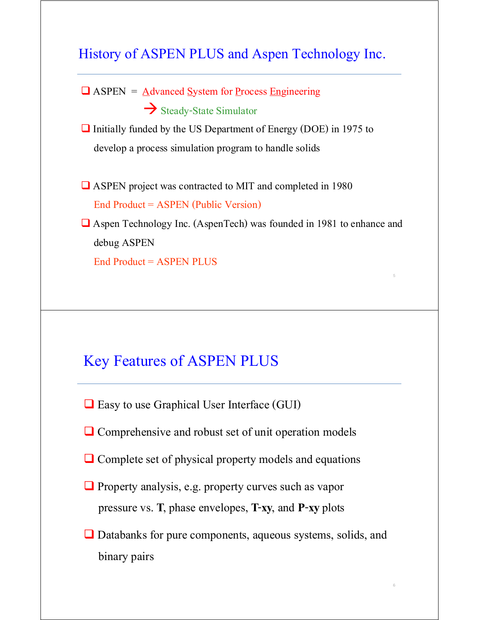#### History of ASPEN PLUS and Aspen Technology Inc.



5

6

#### Key Features of ASPEN PLUS

- $\Box$  Easy to use Graphical User Interface (GUI)
- $\Box$  Comprehensive and robust set of unit operation models
- $\Box$  Complete set of physical property models and equations
- $\Box$  Property analysis, e.g. property curves such as vapor pressure vs. **T**, phase envelopes, **T**-**xy**, and **P**-**xy** plots
- **□** Databanks for pure components, aqueous systems, solids, and binary pairs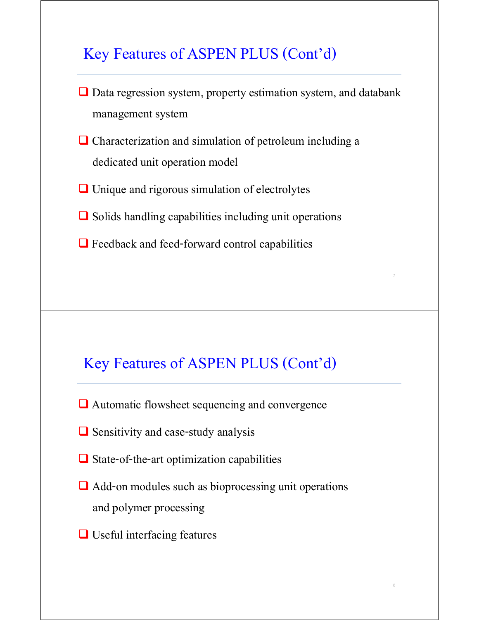## Key Features of ASPEN PLUS (Cont'd)

■ Data regression system, property estimation system, and databank management system

7

8

- Characterization and simulation of petroleum including a dedicated unit operation model
- $\Box$  Unique and rigorous simulation of electrolytes
- $\Box$  Solids handling capabilities including unit operations
- $\Box$  Feedback and feed-forward control capabilities

## Key Features of ASPEN PLUS (Cont'd)

- **■** Automatic flowsheet sequencing and convergence
- $\Box$  Sensitivity and case-study analysis
- $\Box$  State-of-the-art optimization capabilities
- **■** Add-on modules such as bioprocessing unit operations and polymer processing
- **□** Useful interfacing features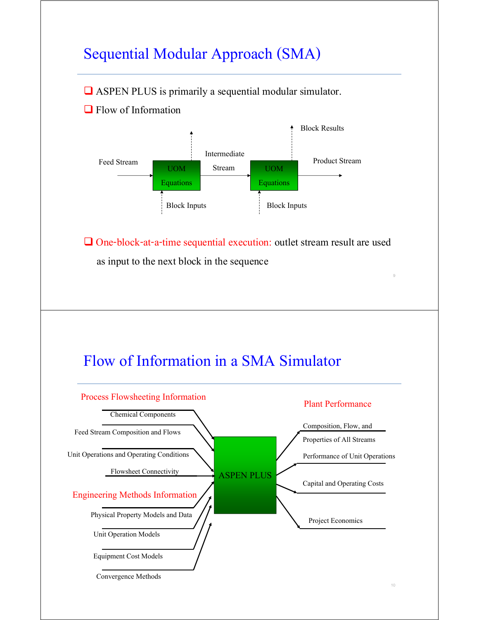# Sequential Modular Approach (SMA)

 $\Box$  ASPEN PLUS is primarily a sequential modular simulator.

**Flow of Information** 



 One-block-at-a-time sequential execution: outlet stream result are used as input to the next block in the sequence



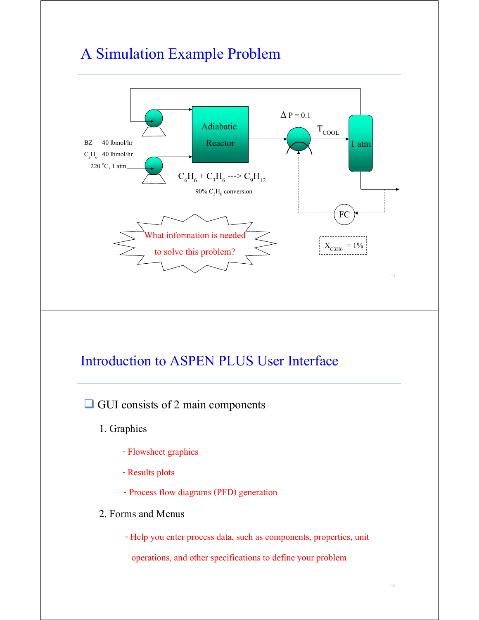## A Simulation Example Problem



 $\Box$  GUI consists of 2 main components

- 1. Graphics
	- Flowsheet graphics
	- Results plots
	- Process flow diagrams (PFD) generation
- 2. Forms and Menus

- Help you enter process data, such as components, properties, unit

operations, and other specifications to define your problem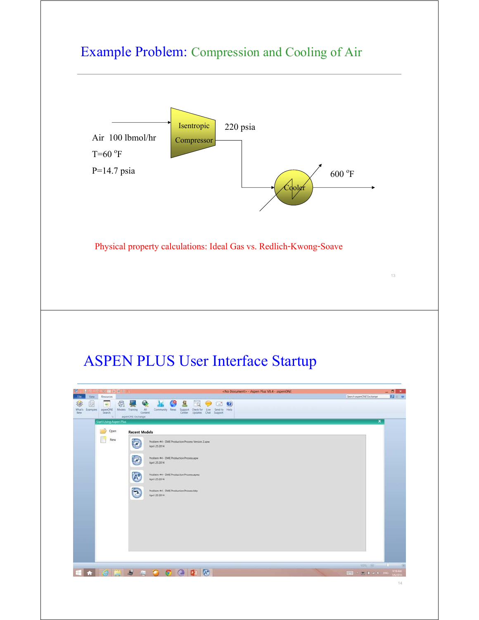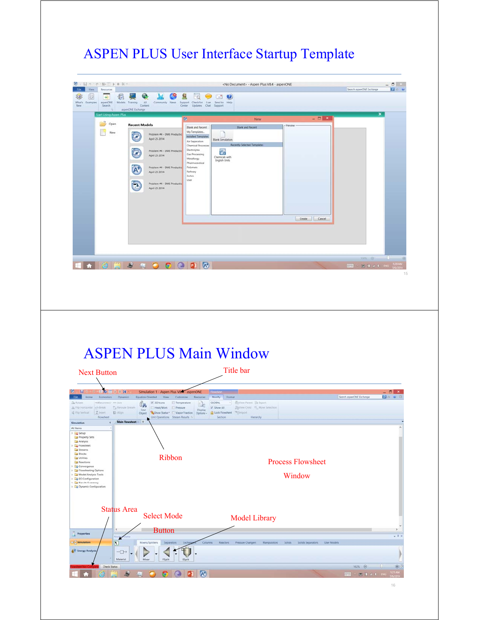# ASPEN PLUS User Interface Startup Template

| View:<br>Resources<br>File.<br>6<br>₩<br>说<br>$\omega$<br>What's Examples<br>asperiONE<br>New<br>Search                                                                                                                                                                                                                                                                                                                                                                                          | S.<br>All<br>Models Training<br>Community News<br>Content<br>Center<br>arpenONE Exchange                                                                                                                                                         | $\alpha$<br><b>Contract</b><br>$\bullet$<br>Support Check for Live Send to Help<br>Updates Chat Support                                                                                                                                                                                                                               |                                                                                    |                                    |       |                          |                       |
|--------------------------------------------------------------------------------------------------------------------------------------------------------------------------------------------------------------------------------------------------------------------------------------------------------------------------------------------------------------------------------------------------------------------------------------------------------------------------------------------------|--------------------------------------------------------------------------------------------------------------------------------------------------------------------------------------------------------------------------------------------------|---------------------------------------------------------------------------------------------------------------------------------------------------------------------------------------------------------------------------------------------------------------------------------------------------------------------------------------|------------------------------------------------------------------------------------|------------------------------------|-------|--------------------------|-----------------------|
| <b>Start Using Aspen Plus</b><br>Open<br>New                                                                                                                                                                                                                                                                                                                                                                                                                                                     | <b>Recent Models</b><br>Problem #4 - DME Productic<br>Œ<br>April 25 2014<br>Problem #4 - DME Productic<br>l gra<br>April 25 2014<br>Problem #4 - DME Productio<br>$\Lambda$<br>April 25 2014<br>Problem #4 - DME Productic<br>ಇ<br>April 25 2014 | 做<br><b>Blank and Recent</b><br>My Templates<br><b>Installed Templates</b><br><b>Blank Simulation</b><br>Air Separation<br><b>Chemical Processes</b><br>Electrolytes<br>$\overline{\mathbf{b}}$<br>Gas Processing<br>Chemicals with<br>Metallurgy<br>English Units<br>Pharmaceutical<br><b>Polymers</b><br>Refinery<br>Solids<br>User | New<br><b>Blank and Recent</b><br>Recently Selected Templates                      | - Preview<br>Create Cancel         | $  +$ |                          | $\pmb{\times}$        |
|                                                                                                                                                                                                                                                                                                                                                                                                                                                                                                  | <b>ACESSOCPN</b>                                                                                                                                                                                                                                 |                                                                                                                                                                                                                                                                                                                                       |                                                                                    |                                    |       | 100% @                   | 15                    |
|                                                                                                                                                                                                                                                                                                                                                                                                                                                                                                  |                                                                                                                                                                                                                                                  |                                                                                                                                                                                                                                                                                                                                       |                                                                                    |                                    |       |                          |                       |
|                                                                                                                                                                                                                                                                                                                                                                                                                                                                                                  | <b>ASPEN PLUS Main Window</b>                                                                                                                                                                                                                    |                                                                                                                                                                                                                                                                                                                                       |                                                                                    |                                    |       |                          |                       |
|                                                                                                                                                                                                                                                                                                                                                                                                                                                                                                  |                                                                                                                                                                                                                                                  |                                                                                                                                                                                                                                                                                                                                       | Title bar                                                                          |                                    |       |                          |                       |
| $\mathbf{R}$<br><b>DER</b><br>(HOReconnect: He Join                                                                                                                                                                                                                                                                                                                                                                                                                                              | Simulation 1 - Aspen Plus V84 - aspenONE<br>Equation Oriented View<br>2 3D kons El Temperature<br>đa<br>Heat/Work Pressure<br>Find<br>Object Show Status* Vapor Fraction Options - Color Flowsheet Simport                                       | Customize Resources<br>Modify Format<br>GLOBAL<br>Be<br>V Show All<br><b>Display</b><br>Section                                                                                                                                                                                                                                       | * <b>IS View Parent St Export</b><br>Ta'Vinw Child Ti, Move Selection<br>Hierarchy |                                    |       | Search aspenONE Erchange | $-6$ x<br><b>Dav8</b> |
| Flowsheet<br>$\epsilon$                                                                                                                                                                                                                                                                                                                                                                                                                                                                          | Unit Operations Stream Results %<br>Main Flowsheet<br>Ribbon                                                                                                                                                                                     |                                                                                                                                                                                                                                                                                                                                       |                                                                                    | <b>Process Flowsheet</b><br>Window |       |                          |                       |
| <b>Next Button</b><br>FIC Home Economics Dynamics<br><b>Ca</b> Rotate<br>A Filip Horizontal - Break Ta Reroute Stream<br>Fig. Verbcal 2 Insert El Align<br>All Items<br><b>Co</b> Setup<br>Property Sets<br>Analysis<br>Flowsheet<br>Streams<br><b>Blocks</b><br>Utilities<br>Reactions<br>Convergence<br>Flowsheeting Options<br>Model Analysis Tools<br><b>B</b> EO Configuration<br>Results Summary<br>Dynamic Configuration<br><b>Status Area</b><br>$\epsilon$<br>$\blacksquare$ Properties | <b>Select Mode</b><br><b>Button</b>                                                                                                                                                                                                              |                                                                                                                                                                                                                                                                                                                                       | <b>Model Library</b>                                                               |                                    |       |                          | $-0.3$                |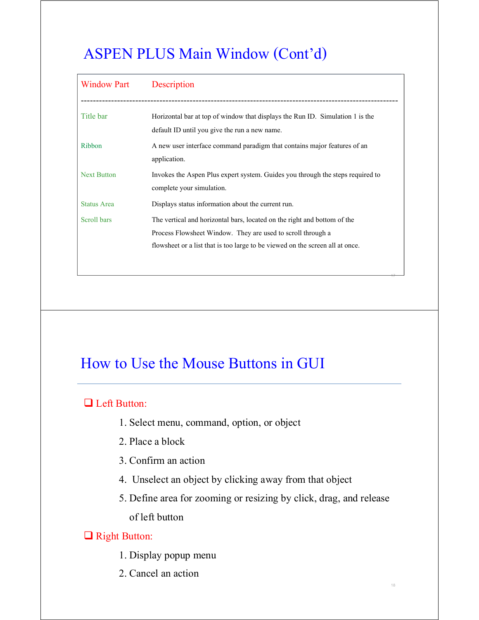# ASPEN PLUS Main Window (Cont'd)

| <b>Window Part</b> | Description                                                                    |
|--------------------|--------------------------------------------------------------------------------|
|                    |                                                                                |
| Title bar          | Horizontal bar at top of window that displays the Run ID. Simulation 1 is the  |
|                    | default ID until you give the run a new name.                                  |
| Ribbon             | A new user interface command paradigm that contains major features of an       |
|                    | application.                                                                   |
| <b>Next Button</b> | Invokes the Aspen Plus expert system. Guides you through the steps required to |
|                    | complete your simulation.                                                      |
| <b>Status Area</b> | Displays status information about the current run.                             |
| Scroll bars        | The vertical and horizontal bars, located on the right and bottom of the       |
|                    | Process Flowsheet Window. They are used to scroll through a                    |
|                    | flowsheet or a list that is too large to be viewed on the screen all at once.  |
|                    |                                                                                |

17

18

## How to Use the Mouse Buttons in GUI

#### □ Left Button:

- 1. Select menu, command, option, or object
- 2. Place a block
- 3. Confirm an action
- 4. Unselect an object by clicking away from that object
- 5. Define area for zooming or resizing by click, drag, and release of left button

#### Right Button:

- 1. Display popup menu
- 2. Cancel an action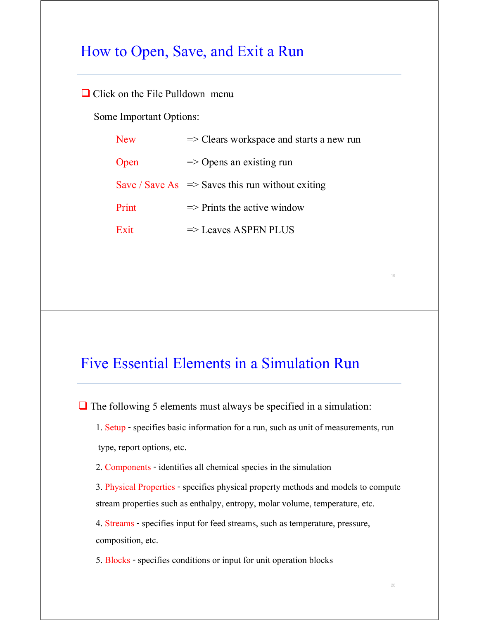#### How to Open, Save, and Exit a Run

#### $\Box$  Click on the File Pulldown menu

Some Important Options:

| <b>New</b> | $\Rightarrow$ Clears workspace and starts a new run         |
|------------|-------------------------------------------------------------|
| Open       | $\Rightarrow$ Opens an existing run                         |
|            | Save / Save As $\Rightarrow$ Saves this run without exiting |
| Print      | $\Rightarrow$ Prints the active window                      |
| Exit       | $\Rightarrow$ Leaves ASPEN PLUS                             |

#### Five Essential Elements in a Simulation Run

 $\Box$  The following 5 elements must always be specified in a simulation:

1. Setup - specifies basic information for a run, such as unit of measurements, run type, report options, etc.

2. Components - identifies all chemical species in the simulation

3. Physical Properties - specifies physical property methods and models to compute stream properties such as enthalpy, entropy, molar volume, temperature, etc.

4. Streams - specifies input for feed streams, such as temperature, pressure, composition, etc.

5. Blocks - specifies conditions or input for unit operation blocks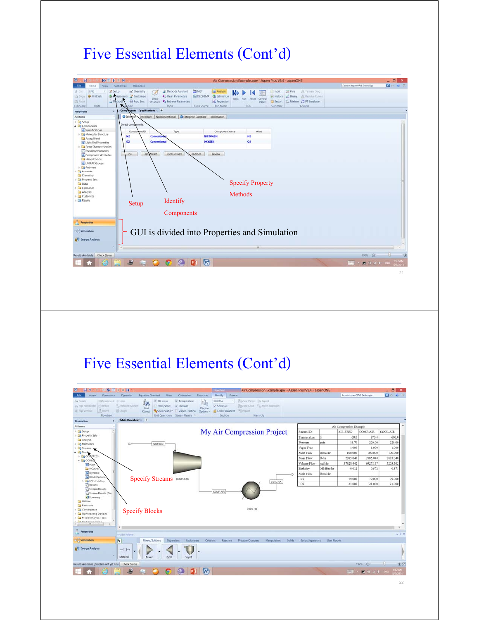## Five Essential Elements (Cont'd)



## Five Essential Elements (Cont'd)

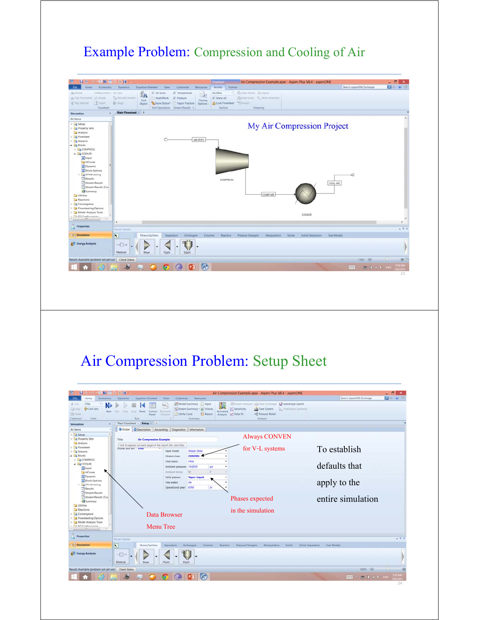#### Example Problem: Compression and Cooling of Air



## Air Compression Problem: Setup Sheet

| <b>建設国 D 田 国</b><br>ы                                |                                                           |                                                  |                     | Air Compression Example.apw - Aspen Plus V8.4 - aspenONE          |                          | $ \beta$<br>$\mathbf{x}$ |
|------------------------------------------------------|-----------------------------------------------------------|--------------------------------------------------|---------------------|-------------------------------------------------------------------|--------------------------|--------------------------|
| Economics<br><b>File</b><br>Home                     | <b>Equation Oriented</b><br><b>Dynamics</b>               | View<br>Customize<br>Resources                   |                     |                                                                   | Search aspenONE Exchange | <b>DOWE</b>              |
| <b>ENG</b><br>& Cut                                  |                                                           | Model Summary nput<br>$\omega_{\rm in}$          |                     | Stream Analysis <sup>-</sup> ea Heat Exchanger & Azeotrope Search |                          |                          |
| <b>C</b> unit Sets<br><b>CaCopy</b><br>Next          | Shop Reset Control<br>Step-<br>Furs.                      | * Stream Summary * @ History<br><b>Reconcile</b> | Activated           | Sensitivity<br>A Flare System  Distillation Synthesis             |                          |                          |
| US Paste                                             | Panel                                                     | Utility Costs<br><b>COMMITTE</b>                 | Report              | +8, Pressure Relief<br>Analysis & Data Fit                        |                          |                          |
| Units:<br>Clipboard                                  | Run                                                       | Summary                                          |                     | Analysis                                                          |                          |                          |
| Simulation                                           | Main Flowsheet Setup +                                    |                                                  |                     |                                                                   |                          |                          |
| All Items                                            | <b>O</b> Global                                           | O Description Accounting Diagnostics Information |                     |                                                                   |                          |                          |
| <b>Ex Setup</b>                                      |                                                           |                                                  |                     |                                                                   |                          |                          |
| Property Sets                                        | <b>Air Compression Example</b><br>Title:                  |                                                  |                     | <b>Always CONVEN</b>                                              |                          |                          |
| Analysis                                             | Text to appear on each page of the report file. See Help. |                                                  |                     |                                                                   |                          |                          |
| <b>B</b> Flowsheet<br><b>Streams</b>                 | GIODAL UNIT SEC ENGIN                                     | Steady-State<br>Input mode:                      |                     | for V-L systems                                                   | To establish             |                          |
| 4 <b>Blocks</b>                                      |                                                           | CONVEN 4<br>Stream class:                        |                     |                                                                   |                          |                          |
| <b>COMPRESS</b>                                      |                                                           | Mole<br>Flow basis:                              |                     |                                                                   |                          |                          |
| <b>4 28 COOLER</b>                                   |                                                           | Ambient pressure: 14.6959                        | psi                 |                                                                   | defaults that            |                          |
| o Input                                              |                                                           |                                                  | F.                  |                                                                   |                          |                          |
| HCurves<br>O Dynamic                                 |                                                           | 50<br>Ambient temp .:                            |                     |                                                                   |                          |                          |
| <b>O</b> Block Options                               |                                                           | Vapor-Liquid<br>Valid phases:                    |                     |                                                                   |                          |                          |
| E Co Modeling                                        |                                                           | Nis<br>Free water:                               |                     |                                                                   | apply to the             |                          |
| <b>B</b> Results                                     |                                                           | Operational year: 8766                           | hr                  |                                                                   |                          |                          |
| Stream Results                                       |                                                           |                                                  |                     |                                                                   |                          |                          |
| Stream Results (Cus)<br><b>Summary</b>               |                                                           |                                                  |                     | Phases expected                                                   | entire simulation        |                          |
| <b>Utilities</b>                                     |                                                           |                                                  |                     |                                                                   |                          |                          |
| Reactions                                            |                                                           |                                                  |                     | in the simulation                                                 |                          |                          |
| <b>Convergence</b>                                   |                                                           | Data Browser                                     |                     |                                                                   |                          |                          |
| Flowsheeting Options                                 |                                                           |                                                  |                     |                                                                   |                          |                          |
| Model Analysis Tools<br>The CC Continentalna         |                                                           |                                                  |                     |                                                                   |                          |                          |
|                                                      | Menu Tree                                                 |                                                  |                     |                                                                   |                          |                          |
|                                                      |                                                           |                                                  |                     |                                                                   |                          |                          |
| <b>Properties</b>                                    | Model Palette                                             |                                                  |                     |                                                                   |                          | $-3x$                    |
| Simulation                                           | $\overline{\mathbf{R}}$<br>Mixers/Splitters               | Separators<br>Exchangers                         | Columns<br>Reactors | Pressure Changers:<br>Manipulators<br>Solids<br>Solids Separators | User Models              |                          |
|                                                      |                                                           |                                                  |                     |                                                                   |                          |                          |
| <b>AV Energy Analysis</b>                            | $\neg$                                                    |                                                  |                     |                                                                   |                          |                          |
|                                                      |                                                           |                                                  |                     |                                                                   |                          |                          |
|                                                      | Material<br>Mixer                                         | FSplit<br><b>SSplit</b>                          |                     |                                                                   |                          |                          |
| Results Available (problem not yet run) Check Status |                                                           |                                                  |                     |                                                                   | 100% @                   |                          |
|                                                      |                                                           |                                                  |                     |                                                                   |                          |                          |
|                                                      |                                                           |                                                  |                     |                                                                   | $-812$<br><b>TEHEN</b>   |                          |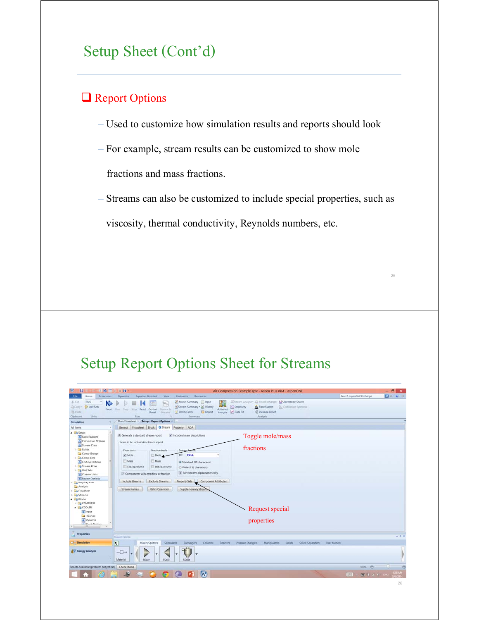## Setup Sheet (Cont'd)

#### **Q** Report Options

- Used to customize how simulation results and reports should look
- For example, stream results can be customized to show mole fractions and mass fractions.
- Streams can also be customized to include special properties, such as viscosity, thermal conductivity, Reynolds numbers, etc.

## Setup Report Options Sheet for Streams

| <b>W</b><br><b>UNELBR</b><br>ы                                                                                                                                                                                                                                                             | Air Compression Example.apw - Aspen Plus V8.4 - aspenONE                                                                                                                                                                                                                                                                                                                                                                                                                                                                                                                                         |                          | $ \beta$<br>$\mathbf{x}$ |
|--------------------------------------------------------------------------------------------------------------------------------------------------------------------------------------------------------------------------------------------------------------------------------------------|--------------------------------------------------------------------------------------------------------------------------------------------------------------------------------------------------------------------------------------------------------------------------------------------------------------------------------------------------------------------------------------------------------------------------------------------------------------------------------------------------------------------------------------------------------------------------------------------------|--------------------------|--------------------------|
| <b>File</b><br>Economics<br>Home                                                                                                                                                                                                                                                           | <b>Equation Oriented</b><br>View<br>Customize<br>Resources<br><b>Dynamics</b>                                                                                                                                                                                                                                                                                                                                                                                                                                                                                                                    | Search aspenONE Exchange | <b>DO UB</b>             |
| ENG<br>& Cut<br>N.<br><sup>d</sup> Unit Sets<br><b>LaCopy</b><br>UN Poste<br><b>Units</b><br>Clipboard<br>Simulation                                                                                                                                                                       | Stream Analysis: Ea Heat Exchanger & Azeotrope Search<br>Model Summary Input<br>Hju<br>39<br>Sensitivity<br><b>Co.</b> Distillation Synthesis<br>Stream Summary * @ History<br><b>J.A.</b> Flare System<br>Next Run Step<br>Shop Reset<br>Control<br>Activated<br><b>Reconcile</b><br>Utility Costs<br>C Data Fit<br><b>+R Pressure Relief</b><br>Report<br>Analysis<br>Panel<br><b>Straughts</b><br>Run<br>Summary<br>Analysis.<br>Main Flowsheet / Setup - Report Options / +                                                                                                                  |                          |                          |
| All Items                                                                                                                                                                                                                                                                                  | General Flowsheet Block Stream Property ADA                                                                                                                                                                                                                                                                                                                                                                                                                                                                                                                                                      |                          |                          |
| 4 <b>Ed Setup</b><br>Specifications<br>Calculation Options<br>Stream Class<br><b>D</b> Solids<br>Comp-Groups<br><b>E</b> Comp-Lists<br>Costing Options<br>Stream Price<br><b>D</b> Unit Sets<br>Custom Units<br>Report Options<br><b>B</b> Property Sets<br>Analysis<br><b>B</b> Flowsheet | Generate a standard stream report<br>Include stream descriptions<br>Toggle mole/mass<br>Items to be included in stream report.<br>fractions<br>Flow basis<br>Fraction basis<br>Stream fo<br>V Mole<br>TFF: FULL<br>Mole<br><b>Mass</b><br><b>Mass</b><br>C Standard (80 characters)<br>Std.liq.volume<br>Std.lig.volume<br>Wide (132 characters)<br>Sort streams alphanumerically<br>Components with zero flow or fraction<br><b>Exclude Streams</b><br>Component Attributes<br><b>Include Streams</b><br>Property Sets<br><b>Batch Operation</b><br><b>Supplementary Stream</b><br>Stream Names |                          |                          |
| <b>EB</b> Streams<br>4 Blocks<br><b>COMPRESS</b><br><b>4 G COOLER</b><br>o Input<br><b>HCurves</b><br><b>G</b> Dynamic<br><b>Black Cations</b><br>m.                                                                                                                                       | Request special<br>properties                                                                                                                                                                                                                                                                                                                                                                                                                                                                                                                                                                    |                          |                          |
| <b>Properties</b>                                                                                                                                                                                                                                                                          | Model Palette                                                                                                                                                                                                                                                                                                                                                                                                                                                                                                                                                                                    |                          | $-9.8$                   |
| Simulation                                                                                                                                                                                                                                                                                 | $\overline{\mathbf{R}}$<br>Mixers/Splitters<br>Separators<br>Exchangers<br>Columns<br>Reactors<br>Pressure Changers<br>Manipulators<br>Solids<br>Solids Separators<br>User Models                                                                                                                                                                                                                                                                                                                                                                                                                |                          |                          |
| <b>6V</b> Energy Analysis                                                                                                                                                                                                                                                                  | $\neg$<br>Material<br>Mixer<br><b>FSplit</b><br><b>SSplit</b>                                                                                                                                                                                                                                                                                                                                                                                                                                                                                                                                    |                          |                          |
| Results Available (problem not yet run) Check Status                                                                                                                                                                                                                                       |                                                                                                                                                                                                                                                                                                                                                                                                                                                                                                                                                                                                  | 100% @                   |                          |
|                                                                                                                                                                                                                                                                                            | $\Lambda^*$                                                                                                                                                                                                                                                                                                                                                                                                                                                                                                                                                                                      | 图 1 2 1 ENG<br>便學        |                          |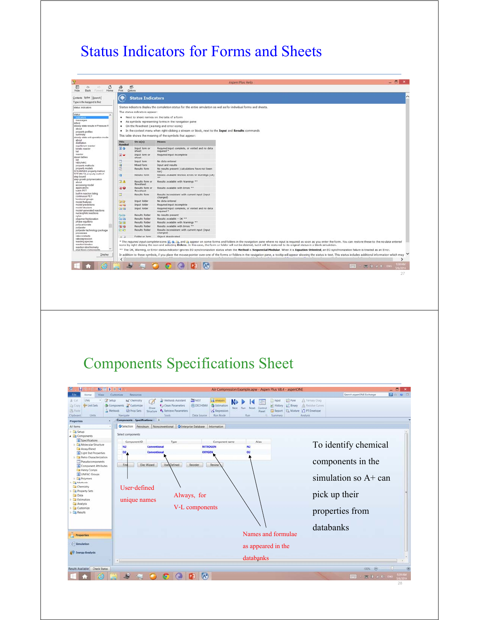#### Status Indicators for Forms and Sheets



## Components Specifications Sheet

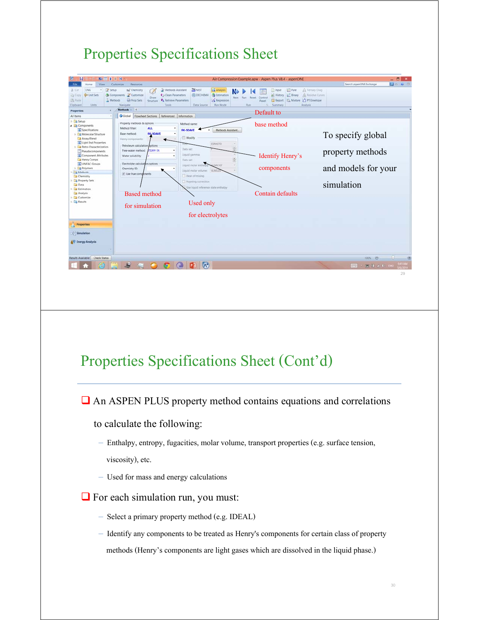## Properties Specifications Sheet



## Properties Specifications Sheet (Cont'd)

An ASPEN PLUS property method contains equations and correlations

to calculate the following:

- Enthalpy, entropy, fugacities, molar volume, transport properties (e.g. surface tension, viscosity), etc.
- Used for mass and energy calculations
- $\Box$  For each simulation run, you must:
	- Select a primary property method (e.g. IDEAL)
	- Identify any components to be treated as Henry's components for certain class of property methods (Henry's components are light gases which are dissolved in the liquid phase.)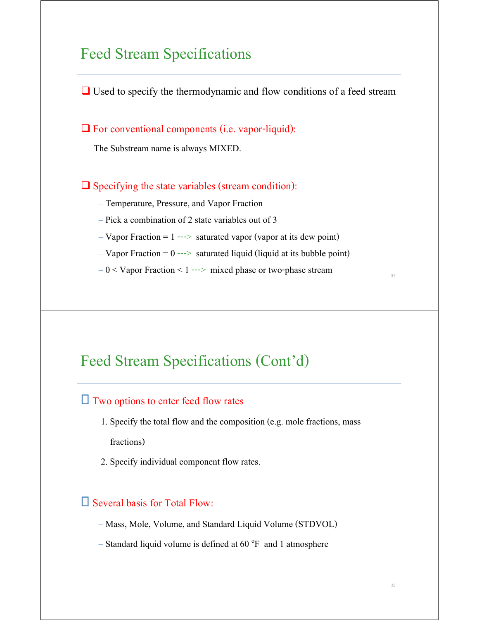#### Feed Stream Specifications

 $\Box$  Used to specify the thermodynamic and flow conditions of a feed stream

 $\Box$  For conventional components (i.e. vapor-liquid):

The Substream name is always MIXED.

 $\Box$  Specifying the state variables (stream condition):

– Temperature, Pressure, and Vapor Fraction

- Pick a combination of 2 state variables out of 3
- $-Vapor Fraction = 1$  ---> saturated vapor (vapor at its dew point)
- $-Vapor Fraction = 0$  ---> saturated liquid (liquid at its bubble point)

 $-0 <$  Vapor Fraction  $< 1$  ---> mixed phase or two-phase stream

#### Feed Stream Specifications (Cont'd)

#### $\Box$  Two options to enter feed flow rates

- 1. Specify the total flow and the composition (e.g. mole fractions, mass fractions)
- 2. Specify individual component flow rates.

#### $\square$  Several basis for Total Flow:

- Mass, Mole, Volume, and Standard Liquid Volume (STDVOL)
- $-$  Standard liquid volume is defined at 60  $\degree$ F and 1 atmosphere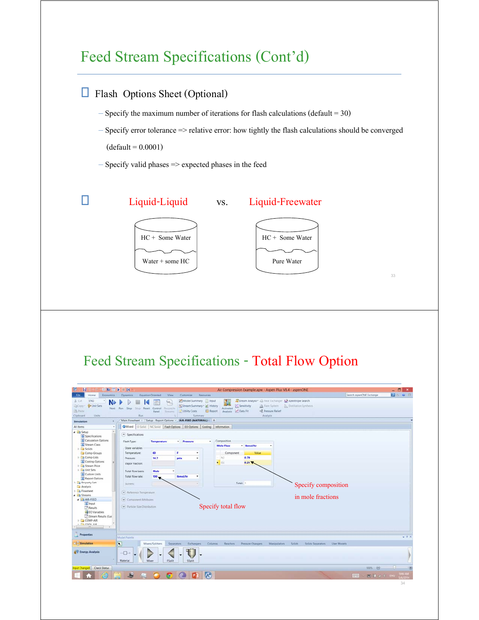## Feed Stream Specifications (Cont'd)

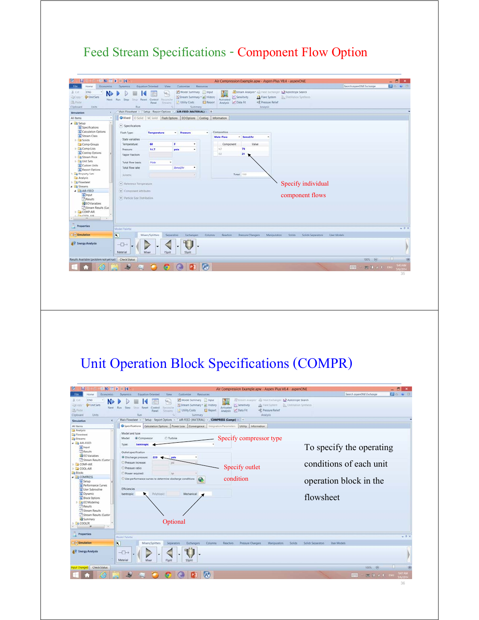#### Feed Stream Specifications - Component Flow Option



## Unit Operation Block Specifications (COMPR)

| <b>PO # 3</b><br>Search aspenONE Exchange<br>Economics<br><b>Equation Oriented</b><br>View<br>Customize<br><b>Resources</b><br><b>Dynamics</b><br><b>ENG</b><br>Stream Analysis: All Heat Esthanger. A Azeotrope Search<br>Model Summary Input<br>N.<br><b>Ga Unit Sets</b><br>Sensitivity<br>C Stream Summary . A History<br>Distillation Synthesis<br>J.A. Flare System<br>Next Run Step<br>Activated<br>Shop Reset Control<br>Rennerio<br>Report<br>Analysis P Data Fit<br>+2 Pressure Relief<br>Utility Costs<br>Panel<br>Streams<br>Units:<br>Run<br>Summary<br>Analysis<br>AIR-FEED (MATERIAL) COMPRESS (Compr) +<br>Setup - Report Options<br>Main Flowsheet<br>٠<br>G Specifications Calculation Options Power Loss Convergence Integration Parameters Utility Information<br>$\overline{\phantom{a}}$<br>Model and type<br>Specify compressor type<br><b>Turbine</b><br><b>a</b> Compressor<br>Model:<br>Isentropic<br>Type:<br>To specify the operating<br>o Input<br><b>Results</b><br>Outlet specification<br><b>ED</b> EO Variables<br>@ Discharge pressure:<br>220<br>psia<br>Stream Results (Custor)<br>conditions of each unit<br>Pressure increase:<br>DIE<br>Specify outlet<br>Pressure ratio:<br>Power required:<br>her<br>4 COMPRESS<br>condition<br>œ.<br>Use performance curves to determine discharge conditions<br>operation block in the<br>o Setup<br><b>G</b> Performance Curves<br>Efficiencies<br>User Subroutine<br>O Dynamic<br><i>Isentropic</i><br>Polytropic:<br>Mechanical:<br>flowsheet<br>G Block Options<br><b>Ed EO Modeling</b><br><b>Results</b><br>Stream Results<br>Stream Results (Custor<br>Summary<br>Optional<br><b>COOLER</b><br><b>Properties</b><br>$-1 x$<br>Model Palette<br>$\overline{\phantom{a}}$<br>Morers/Splitters<br>Separators<br><b>Exchangers</b><br>Columns<br>Reactors<br>Pressure Changers<br>Manipulators<br>User Models<br>Solids<br>Solids Separators<br>$\neg$<br>Material<br>Mixer<br><b>FSplit</b><br>SSplit<br>100% A<br>A<br>图 H 2 D BiG<br>中央<br><b>U2014</b> | N.                                                                                 | $\mathbf{r}$ = $\mathbf{r}$<br>Air Compression Example.apw - Aspen Plus V8.4 - aspenONE | $- 51$<br>$\mathbf{x}$ |
|------------------------------------------------------------------------------------------------------------------------------------------------------------------------------------------------------------------------------------------------------------------------------------------------------------------------------------------------------------------------------------------------------------------------------------------------------------------------------------------------------------------------------------------------------------------------------------------------------------------------------------------------------------------------------------------------------------------------------------------------------------------------------------------------------------------------------------------------------------------------------------------------------------------------------------------------------------------------------------------------------------------------------------------------------------------------------------------------------------------------------------------------------------------------------------------------------------------------------------------------------------------------------------------------------------------------------------------------------------------------------------------------------------------------------------------------------------------------------------------------------------------------------------------------------------------------------------------------------------------------------------------------------------------------------------------------------------------------------------------------------------------------------------------------------------------------------------------------------------------------------------------------------------------------------------------------------------------------------------------------------------------------------------------|------------------------------------------------------------------------------------|-----------------------------------------------------------------------------------------|------------------------|
|                                                                                                                                                                                                                                                                                                                                                                                                                                                                                                                                                                                                                                                                                                                                                                                                                                                                                                                                                                                                                                                                                                                                                                                                                                                                                                                                                                                                                                                                                                                                                                                                                                                                                                                                                                                                                                                                                                                                                                                                                                          |                                                                                    |                                                                                         |                        |
|                                                                                                                                                                                                                                                                                                                                                                                                                                                                                                                                                                                                                                                                                                                                                                                                                                                                                                                                                                                                                                                                                                                                                                                                                                                                                                                                                                                                                                                                                                                                                                                                                                                                                                                                                                                                                                                                                                                                                                                                                                          | de Cut.<br>23Cooy<br><b>PA</b> Paste<br>Clipboard                                  |                                                                                         |                        |
|                                                                                                                                                                                                                                                                                                                                                                                                                                                                                                                                                                                                                                                                                                                                                                                                                                                                                                                                                                                                                                                                                                                                                                                                                                                                                                                                                                                                                                                                                                                                                                                                                                                                                                                                                                                                                                                                                                                                                                                                                                          | Simulation                                                                         |                                                                                         |                        |
|                                                                                                                                                                                                                                                                                                                                                                                                                                                                                                                                                                                                                                                                                                                                                                                                                                                                                                                                                                                                                                                                                                                                                                                                                                                                                                                                                                                                                                                                                                                                                                                                                                                                                                                                                                                                                                                                                                                                                                                                                                          | All Items<br>Analysis<br><b>B</b> Flowsheet<br><b>Els</b> Streams<br>A LO AIR-FEED |                                                                                         |                        |
|                                                                                                                                                                                                                                                                                                                                                                                                                                                                                                                                                                                                                                                                                                                                                                                                                                                                                                                                                                                                                                                                                                                                                                                                                                                                                                                                                                                                                                                                                                                                                                                                                                                                                                                                                                                                                                                                                                                                                                                                                                          |                                                                                    |                                                                                         |                        |
|                                                                                                                                                                                                                                                                                                                                                                                                                                                                                                                                                                                                                                                                                                                                                                                                                                                                                                                                                                                                                                                                                                                                                                                                                                                                                                                                                                                                                                                                                                                                                                                                                                                                                                                                                                                                                                                                                                                                                                                                                                          | D COMP-AIR<br>$\triangleright$ $\square$ COOL-AIR<br><b>Blocks</b>                 |                                                                                         |                        |
|                                                                                                                                                                                                                                                                                                                                                                                                                                                                                                                                                                                                                                                                                                                                                                                                                                                                                                                                                                                                                                                                                                                                                                                                                                                                                                                                                                                                                                                                                                                                                                                                                                                                                                                                                                                                                                                                                                                                                                                                                                          |                                                                                    |                                                                                         |                        |
|                                                                                                                                                                                                                                                                                                                                                                                                                                                                                                                                                                                                                                                                                                                                                                                                                                                                                                                                                                                                                                                                                                                                                                                                                                                                                                                                                                                                                                                                                                                                                                                                                                                                                                                                                                                                                                                                                                                                                                                                                                          |                                                                                    |                                                                                         |                        |
|                                                                                                                                                                                                                                                                                                                                                                                                                                                                                                                                                                                                                                                                                                                                                                                                                                                                                                                                                                                                                                                                                                                                                                                                                                                                                                                                                                                                                                                                                                                                                                                                                                                                                                                                                                                                                                                                                                                                                                                                                                          |                                                                                    |                                                                                         |                        |
|                                                                                                                                                                                                                                                                                                                                                                                                                                                                                                                                                                                                                                                                                                                                                                                                                                                                                                                                                                                                                                                                                                                                                                                                                                                                                                                                                                                                                                                                                                                                                                                                                                                                                                                                                                                                                                                                                                                                                                                                                                          | Simulation                                                                         |                                                                                         |                        |
|                                                                                                                                                                                                                                                                                                                                                                                                                                                                                                                                                                                                                                                                                                                                                                                                                                                                                                                                                                                                                                                                                                                                                                                                                                                                                                                                                                                                                                                                                                                                                                                                                                                                                                                                                                                                                                                                                                                                                                                                                                          | AV Energy Analysis                                                                 |                                                                                         |                        |
|                                                                                                                                                                                                                                                                                                                                                                                                                                                                                                                                                                                                                                                                                                                                                                                                                                                                                                                                                                                                                                                                                                                                                                                                                                                                                                                                                                                                                                                                                                                                                                                                                                                                                                                                                                                                                                                                                                                                                                                                                                          | nput Changed Check Status                                                          |                                                                                         |                        |
|                                                                                                                                                                                                                                                                                                                                                                                                                                                                                                                                                                                                                                                                                                                                                                                                                                                                                                                                                                                                                                                                                                                                                                                                                                                                                                                                                                                                                                                                                                                                                                                                                                                                                                                                                                                                                                                                                                                                                                                                                                          |                                                                                    |                                                                                         |                        |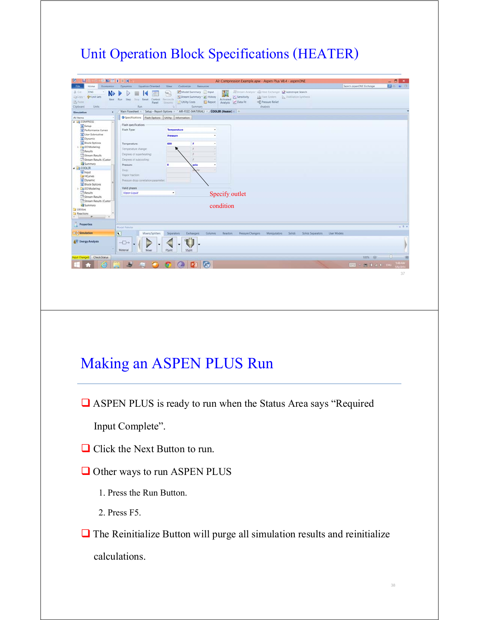## Unit Operation Block Specifications (HEATER)

| <b>REAR</b><br>ы                                                                      | $\blacktriangleright$ = R                            |                                                                                                                                        |                                                                         | Air Compression Example.apw - Aspen Plus V8.4 - aspenONE                                               |                                        |                          | $  \frac{1}{2}$ $x$ |
|---------------------------------------------------------------------------------------|------------------------------------------------------|----------------------------------------------------------------------------------------------------------------------------------------|-------------------------------------------------------------------------|--------------------------------------------------------------------------------------------------------|----------------------------------------|--------------------------|---------------------|
| <b>File</b><br>Economics<br>Home                                                      | <b>Dynamics</b><br><b>Equation Oriented</b>          | View<br>Customize<br>Resources                                                                                                         |                                                                         |                                                                                                        |                                        | Search aspenDNE Exchange | <b>DO UB</b>        |
| ENG<br>& Cut<br>N.<br><b>P</b> Unit Sets<br>23Copy<br>UN Paste<br>Clipboard<br>Units: | Next Run Step<br>Shop Reset Control<br>Parvel<br>Run | Model Summary nput<br>$\omega_{\rm s}$<br>Stream Summary + el History<br><b>Reconcile</b><br>Utility Costs<br>Courses<br>n.<br>Summary | w<br>- 31<br>Activated<br><b>Report</b><br>Analysis <b>Det</b> Data Fit | Stream Analysis: Ea Heat Exchanger & Azeotrope Search<br>Sensitivity<br>+8 Pressure Relief<br>Analysis | 1) Flare System Distillation Synthesis |                          |                     |
| ×<br>Simulation                                                                       | Main Flowsheet 10<br>Setup - Report Options          |                                                                                                                                        | AIR-FEED (MATERIAL) COOLER (Heater) + +                                 |                                                                                                        |                                        |                          |                     |
| All Items<br>٠                                                                        | G Specifications                                     | Flash Options Utility Information                                                                                                      |                                                                         |                                                                                                        |                                        |                          |                     |
| 4 3 COMPRESS<br>$\overline{a}$                                                        | Flash specifications                                 |                                                                                                                                        |                                                                         |                                                                                                        |                                        |                          |                     |
| C Setup<br>Performance Curves                                                         | Flash Type:                                          | <b>Temperature</b>                                                                                                                     | ٠                                                                       |                                                                                                        |                                        |                          |                     |
| User Subroutine                                                                       |                                                      | Pressure                                                                                                                               | ٠                                                                       |                                                                                                        |                                        |                          |                     |
| O Dynamic                                                                             |                                                      |                                                                                                                                        |                                                                         |                                                                                                        |                                        |                          |                     |
| <b>Block Options</b>                                                                  | Temperature:                                         | 600<br>s.                                                                                                                              | ٠                                                                       |                                                                                                        |                                        |                          |                     |
| <b>Ex</b> EO Modeling<br><b>Results</b>                                               | Temperature.change:                                  | ×                                                                                                                                      |                                                                         |                                                                                                        |                                        |                          |                     |
| Stream Results                                                                        | Degrees of superheating:                             |                                                                                                                                        |                                                                         |                                                                                                        |                                        |                          |                     |
| Stream Results (Custor)                                                               | Degrees of subcooling:                               |                                                                                                                                        |                                                                         |                                                                                                        |                                        |                          |                     |
| Summary                                                                               | Pressure:                                            | ۰<br>psia                                                                                                                              | ٠                                                                       |                                                                                                        |                                        |                          |                     |
| 4 <b>B</b> COOLER                                                                     | Duty:                                                |                                                                                                                                        |                                                                         |                                                                                                        |                                        |                          |                     |
| a Input<br>HCurves                                                                    | Vapor fraction:                                      |                                                                                                                                        |                                                                         |                                                                                                        |                                        |                          |                     |
| O Dynamic                                                                             | Pressure drop correlation parameter:                 |                                                                                                                                        |                                                                         |                                                                                                        |                                        |                          |                     |
| Block Options                                                                         |                                                      |                                                                                                                                        |                                                                         |                                                                                                        |                                        |                          |                     |
| EQ Modeling                                                                           | Valid phases                                         |                                                                                                                                        |                                                                         |                                                                                                        |                                        |                          |                     |
| <b>Results</b>                                                                        | Vapor-Liquid                                         | $\bullet$                                                                                                                              | Specify outlet                                                          |                                                                                                        |                                        |                          |                     |
| Stream Results<br>Stream Results (Custor)                                             |                                                      |                                                                                                                                        |                                                                         |                                                                                                        |                                        |                          |                     |
| Summary                                                                               |                                                      |                                                                                                                                        | condition                                                               |                                                                                                        |                                        |                          |                     |
| Utilities                                                                             |                                                      |                                                                                                                                        |                                                                         |                                                                                                        |                                        |                          |                     |
| Reactions<br>an.<br>$\rightarrow$                                                     |                                                      |                                                                                                                                        |                                                                         |                                                                                                        |                                        |                          |                     |
|                                                                                       |                                                      |                                                                                                                                        |                                                                         |                                                                                                        |                                        |                          |                     |
| <b>Properties</b>                                                                     | Model Palette                                        |                                                                                                                                        |                                                                         |                                                                                                        |                                        |                          | $-9.8$              |
|                                                                                       |                                                      |                                                                                                                                        |                                                                         |                                                                                                        |                                        |                          |                     |
| Simulation                                                                            | $\overline{\mathbf{R}}$<br>Mixers/Splitters          | Separators<br>Exchangers                                                                                                               | <b>Columns</b><br>Reactors                                              | Pressure Changers<br><b>Manipulators</b>                                                               | Solids<br>Solids Separators            | User Models              |                     |
| <b>&amp;V</b> Energy Analysis                                                         |                                                      |                                                                                                                                        |                                                                         |                                                                                                        |                                        |                          |                     |
|                                                                                       | $\neg$                                               |                                                                                                                                        |                                                                         |                                                                                                        |                                        |                          |                     |
|                                                                                       | Material<br>Mixer                                    | <b>FSplit</b><br><b>SSplit</b>                                                                                                         |                                                                         |                                                                                                        |                                        |                          |                     |
| put Changed Check Status                                                              |                                                      |                                                                                                                                        |                                                                         |                                                                                                        |                                        | 100% @                   | -1.1-               |
|                                                                                       |                                                      |                                                                                                                                        |                                                                         |                                                                                                        |                                        |                          |                     |
|                                                                                       | B<br>傳<br>r.                                         | P <sub>3</sub><br><b>fo</b>                                                                                                            | $(A^*)$                                                                 |                                                                                                        |                                        | $1.44$ $1.44$ $1.40$     | <b>MA 849</b>       |
|                                                                                       |                                                      |                                                                                                                                        |                                                                         |                                                                                                        |                                        |                          |                     |
|                                                                                       |                                                      |                                                                                                                                        |                                                                         |                                                                                                        |                                        |                          | 37                  |

## Making an ASPEN PLUS Run

ASPEN PLUS is ready to run when the Status Area says "Required

Input Complete".

- □ Click the Next Button to run.
- **□** Other ways to run ASPEN PLUS
	- 1. Press the Run Button.
	- 2. Press F5.

 $\Box$  The Reinitialize Button will purge all simulation results and reinitialize calculations.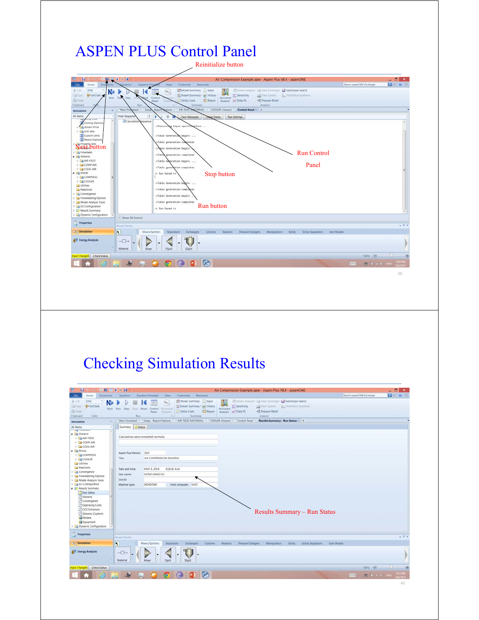## ASPEN PLUS Control Panel



## Checking Simulation Results

| <b>W</b><br><b>BE NA E</b><br>ы                                                                                                                                                                                                                                                                                                                                                                                                                                                                                                                            | $P = H$                                                                                                                                                                                                                                                                                                                                                                                                                                                                                                                                                                                                                                 |                                                                                                                       | $ \overline{0}$<br>$\mathbf{x}$ |
|------------------------------------------------------------------------------------------------------------------------------------------------------------------------------------------------------------------------------------------------------------------------------------------------------------------------------------------------------------------------------------------------------------------------------------------------------------------------------------------------------------------------------------------------------------|-----------------------------------------------------------------------------------------------------------------------------------------------------------------------------------------------------------------------------------------------------------------------------------------------------------------------------------------------------------------------------------------------------------------------------------------------------------------------------------------------------------------------------------------------------------------------------------------------------------------------------------------|-----------------------------------------------------------------------------------------------------------------------|---------------------------------|
|                                                                                                                                                                                                                                                                                                                                                                                                                                                                                                                                                            | Air Compression Example.apw - Aspen Plus V8.4 - aspenONE                                                                                                                                                                                                                                                                                                                                                                                                                                                                                                                                                                                |                                                                                                                       | 200003                          |
| Economics<br>File<br>Home<br>ENG<br>A Cut<br>N<br><b>G</b> Unit Sets<br>El Copy<br><b>The Plastic</b><br>Units<br>Clipboard<br>k<br>Simulation                                                                                                                                                                                                                                                                                                                                                                                                             | <b>Equation Oriented</b><br><b>Wew</b><br>Customize<br>Resources<br><b>Dynamics</b><br>Model Summary   Input<br>Stream Analysis: aut Heat Exchanger: A Azeotrope Search<br>96<br>Ð<br>Stream Summary - @ History<br>Sensitivity<br>33 Flare System B. Distillation Synthesis<br>Next Run Step<br>Sting Reset Control<br>Reconcile<br>Activated<br>Jul Data Fit<br>+3 Pressure Relief<br>Utility Costs<br>Report<br>Analysis<br>Streams<br>Panel.<br>Run.<br><b>Analysis</b><br>Summary<br>n.<br>AIR-FEED (MATERIAL) > COOLER (Heater) > Control Panel > Results Summary - Run Status > +<br>Main Flowsheet X   Setup - Report Options X | Search aspenONE Exchange                                                                                              |                                 |
| All Items<br>٠<br><b>COMPANY</b><br>4 B Streams<br>$\triangleright$ $\Box$ AIR-FEED<br>$\triangleright$ $\square$ COMP-AIR<br>$\triangleright$ $\square$ COOL-AIR<br>4 <b>Za Blocks</b><br><b>DE COMPRESS</b><br><b>DE COOLER</b><br>Utilities<br>Reactions<br>Convergence<br>Flowsheeting Options<br>> Model Analysis Tools<br><b>Dig EO Configuration</b><br><b>4 P</b> Results Summary<br>Run Status<br>Streams<br>Convergence<br>Operating Costs<br><b>CO2</b> Emissions<br>Streams (Custom)<br>Models<br><b>Equipment</b><br>Co Dynamic Configuration | <b>C Status</b><br>Summary<br>Calculations were completed normally<br>Aspen Plus Version<br>30.0<br>AIR COMPRESSION EXAMPLE<br>Title:<br>MAY 6, 2014<br>9:26:45 A.M.<br>Date and time:<br>HONG-MING KU<br>User name:<br>Site ID:<br><b>WINDOWS</b><br>Machine type:<br>Host computer: VAIO<br><b>Results Summary – Run Status</b>                                                                                                                                                                                                                                                                                                       |                                                                                                                       |                                 |
| <b>Properties</b>                                                                                                                                                                                                                                                                                                                                                                                                                                                                                                                                          | Model Palette                                                                                                                                                                                                                                                                                                                                                                                                                                                                                                                                                                                                                           |                                                                                                                       | $-1 x$                          |
| Simulation<br>AV Energy Analysis                                                                                                                                                                                                                                                                                                                                                                                                                                                                                                                           | $\overline{\mathbf{R}}$<br>Mixers/Splitters<br>Separators<br>Exchangers<br>Columns<br>Reactors<br>Pressure Changers<br><b>Manipulators</b><br>Solids<br>Solids Separators<br><b>User Models</b><br>$\neg$<br>Material<br>Mixer<br>FSplit<br>SSplit                                                                                                                                                                                                                                                                                                                                                                                      |                                                                                                                       |                                 |
| put Changed Check Status                                                                                                                                                                                                                                                                                                                                                                                                                                                                                                                                   | AŤ                                                                                                                                                                                                                                                                                                                                                                                                                                                                                                                                                                                                                                      | 100% ©<br><b>EXAMPLE 1: 000 PM 2: 4: 000 PM 4: 000 PM 4: 000 PM 4: 000 PM 4: 000 PM 4: 000 PM 4: 000 PM 4: 000 PM</b> | 1 E<br><b>HER FZ-4</b>          |